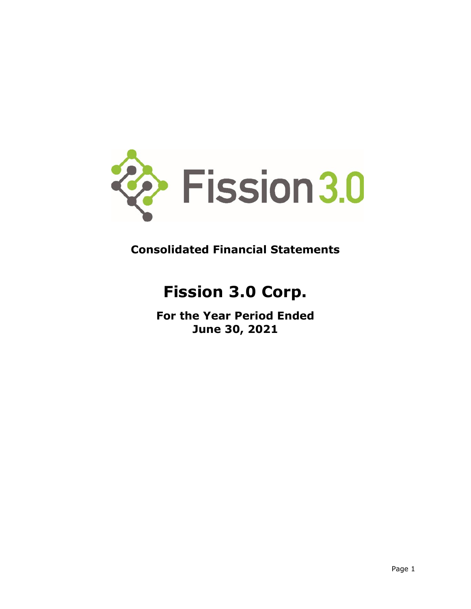

# **Consolidated Financial Statements**

# **Fission 3.0 Corp.**

**For the Year Period Ended June 30, 2021**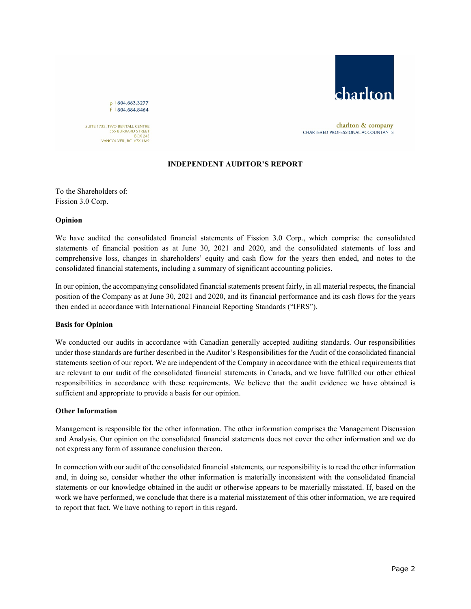

p 1604.683.3277 f 1604.684.8464

SUITE 1735, TWO BENTALL CENTRE 555 BURRARD STREET<br>
BOX 243<br>
VANCOUVER, BC V7X 1M9

charlton & company CHARTERED PROFESSIONAL ACCOUNTANTS

# **INDEPENDENT AUDITOR'S REPORT**

To the Shareholders of: Fission 3.0 Corp.

# **Opinion**

We have audited the consolidated financial statements of Fission 3.0 Corp., which comprise the consolidated statements of financial position as at June 30, 2021 and 2020, and the consolidated statements of loss and comprehensive loss, changes in shareholders' equity and cash flow for the years then ended, and notes to the consolidated financial statements, including a summary of significant accounting policies.

In our opinion, the accompanying consolidated financial statements present fairly, in all material respects, the financial position of the Company as at June 30, 2021 and 2020, and its financial performance and its cash flows for the years then ended in accordance with International Financial Reporting Standards ("IFRS").

# **Basis for Opinion**

We conducted our audits in accordance with Canadian generally accepted auditing standards. Our responsibilities under those standards are further described in the Auditor's Responsibilities for the Audit of the consolidated financial statements section of our report. We are independent of the Company in accordance with the ethical requirements that are relevant to our audit of the consolidated financial statements in Canada, and we have fulfilled our other ethical responsibilities in accordance with these requirements. We believe that the audit evidence we have obtained is sufficient and appropriate to provide a basis for our opinion.

#### **Other Information**

Management is responsible for the other information. The other information comprises the Management Discussion and Analysis. Our opinion on the consolidated financial statements does not cover the other information and we do not express any form of assurance conclusion thereon.

In connection with our audit of the consolidated financial statements, our responsibility is to read the other information and, in doing so, consider whether the other information is materially inconsistent with the consolidated financial statements or our knowledge obtained in the audit or otherwise appears to be materially misstated. If, based on the work we have performed, we conclude that there is a material misstatement of this other information, we are required to report that fact. We have nothing to report in this regard.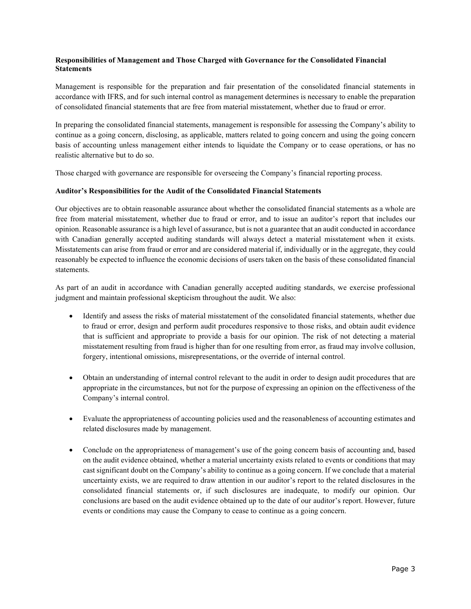# **Responsibilities of Management and Those Charged with Governance for the Consolidated Financial Statements**

Management is responsible for the preparation and fair presentation of the consolidated financial statements in accordance with IFRS, and for such internal control as management determines is necessary to enable the preparation of consolidated financial statements that are free from material misstatement, whether due to fraud or error.

In preparing the consolidated financial statements, management is responsible for assessing the Company's ability to continue as a going concern, disclosing, as applicable, matters related to going concern and using the going concern basis of accounting unless management either intends to liquidate the Company or to cease operations, or has no realistic alternative but to do so.

Those charged with governance are responsible for overseeing the Company's financial reporting process.

# **Auditor's Responsibilities for the Audit of the Consolidated Financial Statements**

Our objectives are to obtain reasonable assurance about whether the consolidated financial statements as a whole are free from material misstatement, whether due to fraud or error, and to issue an auditor's report that includes our opinion. Reasonable assurance is a high level of assurance, but is not a guarantee that an audit conducted in accordance with Canadian generally accepted auditing standards will always detect a material misstatement when it exists. Misstatements can arise from fraud or error and are considered material if, individually or in the aggregate, they could reasonably be expected to influence the economic decisions of users taken on the basis of these consolidated financial statements.

As part of an audit in accordance with Canadian generally accepted auditing standards, we exercise professional judgment and maintain professional skepticism throughout the audit. We also:

- Identify and assess the risks of material misstatement of the consolidated financial statements, whether due to fraud or error, design and perform audit procedures responsive to those risks, and obtain audit evidence that is sufficient and appropriate to provide a basis for our opinion. The risk of not detecting a material misstatement resulting from fraud is higher than for one resulting from error, as fraud may involve collusion, forgery, intentional omissions, misrepresentations, or the override of internal control.
- Obtain an understanding of internal control relevant to the audit in order to design audit procedures that are appropriate in the circumstances, but not for the purpose of expressing an opinion on the effectiveness of the Company's internal control.
- Evaluate the appropriateness of accounting policies used and the reasonableness of accounting estimates and related disclosures made by management.
- Conclude on the appropriateness of management's use of the going concern basis of accounting and, based on the audit evidence obtained, whether a material uncertainty exists related to events or conditions that may cast significant doubt on the Company's ability to continue as a going concern. If we conclude that a material uncertainty exists, we are required to draw attention in our auditor's report to the related disclosures in the consolidated financial statements or, if such disclosures are inadequate, to modify our opinion. Our conclusions are based on the audit evidence obtained up to the date of our auditor's report. However, future events or conditions may cause the Company to cease to continue as a going concern.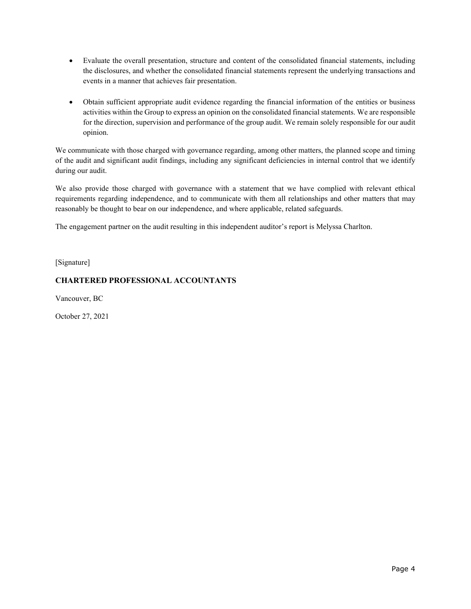- Evaluate the overall presentation, structure and content of the consolidated financial statements, including the disclosures, and whether the consolidated financial statements represent the underlying transactions and events in a manner that achieves fair presentation.
- Obtain sufficient appropriate audit evidence regarding the financial information of the entities or business activities within the Group to express an opinion on the consolidated financial statements. We are responsible for the direction, supervision and performance of the group audit. We remain solely responsible for our audit opinion.

We communicate with those charged with governance regarding, among other matters, the planned scope and timing of the audit and significant audit findings, including any significant deficiencies in internal control that we identify during our audit.

We also provide those charged with governance with a statement that we have complied with relevant ethical requirements regarding independence, and to communicate with them all relationships and other matters that may reasonably be thought to bear on our independence, and where applicable, related safeguards.

The engagement partner on the audit resulting in this independent auditor's report is Melyssa Charlton.

[Signature]

# **CHARTERED PROFESSIONAL ACCOUNTANTS**

Vancouver, BC

October 27, 2021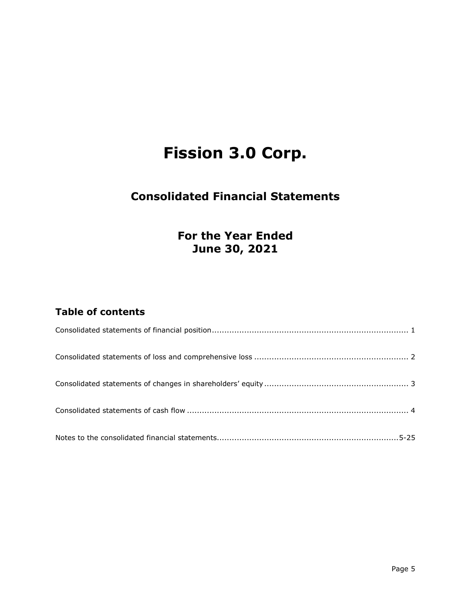# **Consolidated Financial Statements**

# **For the Year Ended June 30, 2021**

# **Table of contents**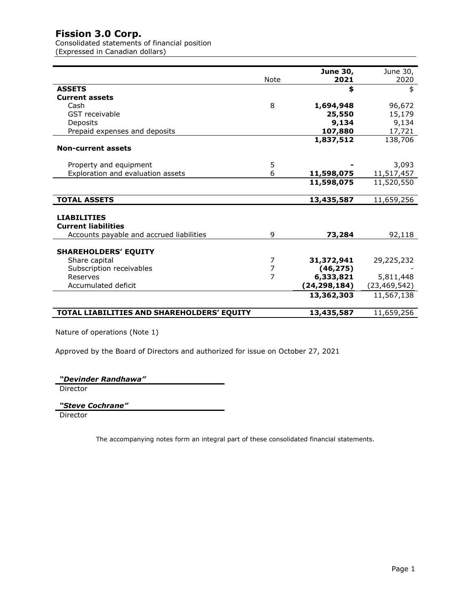Consolidated statements of financial position (Expressed in Canadian dollars)

|                                            |                | <b>June 30,</b> | June 30,       |
|--------------------------------------------|----------------|-----------------|----------------|
|                                            | <b>Note</b>    | 2021            | 2020           |
| <b>ASSETS</b>                              |                | \$              | \$             |
| <b>Current assets</b>                      |                |                 |                |
| Cash                                       | 8              | 1,694,948       | 96,672         |
| <b>GST</b> receivable                      |                | 25,550          | 15,179         |
| Deposits                                   |                | 9,134           | 9,134          |
| Prepaid expenses and deposits              |                | 107,880         | 17,721         |
|                                            |                | 1,837,512       | 138,706        |
| <b>Non-current assets</b>                  |                |                 |                |
|                                            |                |                 |                |
| Property and equipment                     | 5              |                 | 3,093          |
| Exploration and evaluation assets          | 6              |                 | 11,517,457     |
|                                            |                | 11,598,075      |                |
|                                            |                | 11,598,075      | 11,520,550     |
|                                            |                |                 |                |
| <b>TOTAL ASSETS</b>                        |                | 13,435,587      | 11,659,256     |
|                                            |                |                 |                |
| <b>LIABILITIES</b>                         |                |                 |                |
| <b>Current liabilities</b>                 |                |                 |                |
| Accounts payable and accrued liabilities   | 9              | 73,284          | 92,118         |
|                                            |                |                 |                |
| <b>SHAREHOLDERS' EQUITY</b>                |                |                 |                |
| Share capital                              | 7              | 31,372,941      | 29,225,232     |
| Subscription receivables                   | $\overline{z}$ | (46, 275)       |                |
| Reserves                                   | 7              | 6,333,821       | 5,811,448      |
| Accumulated deficit                        |                | (24, 298, 184)  | (23, 469, 542) |
|                                            |                | 13,362,303      | 11,567,138     |
|                                            |                |                 |                |
|                                            |                |                 |                |
| TOTAL LIABILITIES AND SHAREHOLDERS' EQUITY |                | 13,435,587      | 11,659,256     |

Nature of operations (Note 1)

Approved by the Board of Directors and authorized for issue on October 27, 2021

*"Devinder Randhawa"*

Director

*"Steve Cochrane"*

Director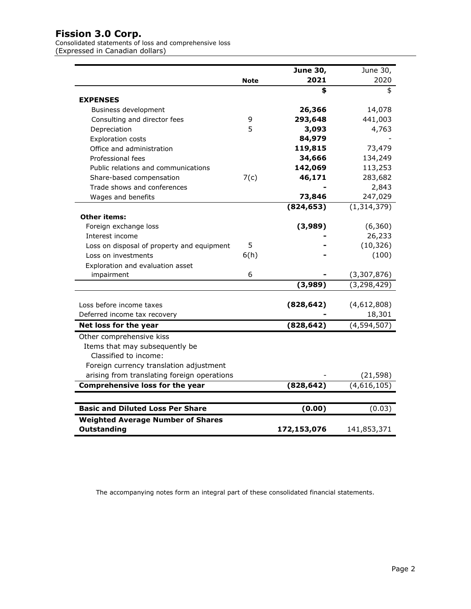Consolidated statements of loss and comprehensive loss (Expressed in Canadian dollars)

|                                                                |             | June 30,    | June 30,      |
|----------------------------------------------------------------|-------------|-------------|---------------|
|                                                                | <b>Note</b> | 2021        | 2020          |
|                                                                |             | \$          | \$            |
| <b>EXPENSES</b>                                                |             |             |               |
| Business development                                           |             | 26,366      | 14,078        |
| Consulting and director fees                                   | 9           | 293,648     | 441,003       |
| Depreciation                                                   | 5           | 3,093       | 4,763         |
| <b>Exploration costs</b>                                       |             | 84,979      |               |
| Office and administration                                      |             | 119,815     | 73,479        |
| Professional fees                                              |             | 34,666      | 134,249       |
| Public relations and communications                            |             | 142,069     | 113,253       |
| Share-based compensation                                       | 7(c)        | 46,171      | 283,682       |
| Trade shows and conferences                                    |             |             | 2,843         |
| Wages and benefits                                             |             | 73,846      | 247,029       |
| Other items:                                                   |             | (824, 653)  | (1, 314, 379) |
| Foreign exchange loss                                          |             | (3,989)     | (6, 360)      |
| Interest income                                                |             |             | 26,233        |
| Loss on disposal of property and equipment                     | 5           |             | (10, 326)     |
| Loss on investments                                            | 6(h)        |             | (100)         |
|                                                                |             |             |               |
| Exploration and evaluation asset<br>impairment                 | 6           |             | (3,307,876)   |
|                                                                |             | (3,989)     | (3, 298, 429) |
|                                                                |             |             |               |
| Loss before income taxes                                       |             | (828, 642)  | (4,612,808)   |
| Deferred income tax recovery                                   |             |             | 18,301        |
| Net loss for the year                                          |             | (828, 642)  | (4,594,507)   |
| Other comprehensive kiss                                       |             |             |               |
| Items that may subsequently be                                 |             |             |               |
| Classified to income:                                          |             |             |               |
| Foreign currency translation adjustment                        |             |             |               |
| arising from translating foreign operations                    |             |             | (21, 598)     |
| Comprehensive loss for the year                                |             | (828, 642)  | (4,616,105)   |
| <b>Basic and Diluted Loss Per Share</b>                        |             |             |               |
|                                                                |             | (0.00)      | (0.03)        |
| <b>Weighted Average Number of Shares</b><br><b>Outstanding</b> |             | 172,153,076 | 141,853,371   |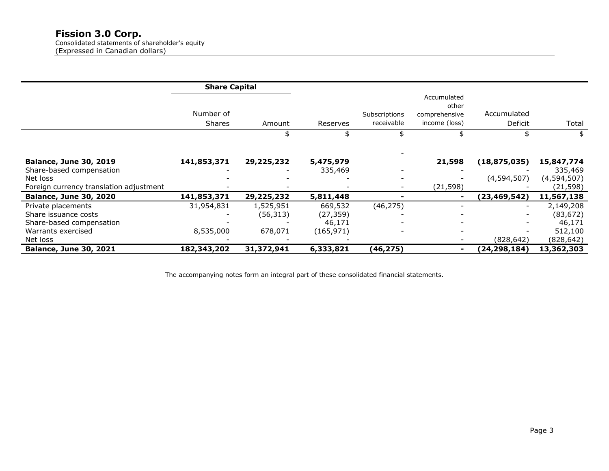Consolidated statements of shareholder's equity (Expressed in Canadian dollars)

|                                                                                                          | <b>Share Capital</b>       |                                   |                                              |                             |                                                        |                        |                                                           |
|----------------------------------------------------------------------------------------------------------|----------------------------|-----------------------------------|----------------------------------------------|-----------------------------|--------------------------------------------------------|------------------------|-----------------------------------------------------------|
|                                                                                                          | Number of<br><b>Shares</b> | Amount                            | Reserves                                     | Subscriptions<br>receivable | Accumulated<br>other<br>comprehensive<br>income (loss) | Accumulated<br>Deficit | Total                                                     |
|                                                                                                          |                            |                                   |                                              |                             |                                                        |                        |                                                           |
| <b>Balance, June 30, 2019</b><br>Share-based compensation                                                | 141,853,371                | 29,225,232                        | 5,475,979<br>335,469                         |                             | 21,598                                                 | (18, 875, 035)         | 15,847,774<br>335,469                                     |
| Net loss<br>Foreign currency translation adjustment                                                      |                            |                                   |                                              |                             | (21, 598)                                              | (4,594,507)            | (4,594,507)<br>(21, 598)                                  |
| <b>Balance, June 30, 2020</b>                                                                            | 141,853,371                | 29,225,232                        | 5,811,448                                    |                             |                                                        | (23, 469, 542)         | 11,567,138                                                |
| Private placements<br>Share issuance costs<br>Share-based compensation<br>Warrants exercised<br>Net loss | 31,954,831<br>8,535,000    | 1,525,951<br>(56, 313)<br>678,071 | 669,532<br>(27, 359)<br>46,171<br>(165, 971) | (46, 275)                   |                                                        | (828, 642)             | 2,149,208<br>(83, 672)<br>46,171<br>512,100<br>(828, 642) |
| <b>Balance, June 30, 2021</b>                                                                            | 182,343,202                | 31,372,941                        | 6,333,821                                    | (46, 275)                   |                                                        | (24, 298, 184)         | 13,362,303                                                |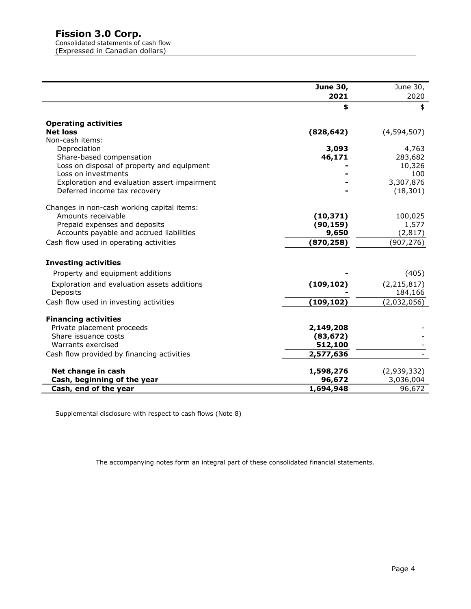Consolidated statements of cash flow (Expressed in Canadian dollars)

|                                                                   | <b>June 30,</b> | June 30,      |
|-------------------------------------------------------------------|-----------------|---------------|
|                                                                   | 2021            | 2020          |
|                                                                   | \$              | \$            |
| <b>Operating activities</b>                                       |                 |               |
| <b>Net loss</b>                                                   | (828, 642)      | (4,594,507)   |
| Non-cash items:                                                   |                 |               |
| Depreciation                                                      | 3,093           | 4,763         |
| Share-based compensation                                          | 46,171          | 283,682       |
| Loss on disposal of property and equipment<br>Loss on investments |                 | 10,326<br>100 |
| Exploration and evaluation assert impairment                      |                 | 3,307,876     |
| Deferred income tax recovery                                      |                 | (18, 301)     |
|                                                                   |                 |               |
| Changes in non-cash working capital items:                        |                 |               |
| Amounts receivable                                                | (10, 371)       | 100,025       |
| Prepaid expenses and deposits                                     | (90, 159)       | 1,577         |
| Accounts payable and accrued liabilities                          | 9,650           | (2, 817)      |
| Cash flow used in operating activities                            | (870, 258)      | (907, 276)    |
| <b>Investing activities</b>                                       |                 |               |
| Property and equipment additions                                  |                 | (405)         |
| Exploration and evaluation assets additions                       | (109, 102)      | (2, 215, 817) |
| Deposits                                                          |                 | 184,166       |
| Cash flow used in investing activities                            | (109, 102)      | (2,032,056)   |
| <b>Financing activities</b>                                       |                 |               |
| Private placement proceeds                                        | 2,149,208       |               |
| Share issuance costs                                              | (83, 672)       |               |
| Warrants exercised                                                | 512,100         |               |
| Cash flow provided by financing activities                        | 2,577,636       |               |
| Net change in cash                                                | 1,598,276       | (2,939,332)   |
| Cash, beginning of the year                                       | 96,672          | 3,036,004     |
| Cash, end of the year                                             | 1,694,948       | 96,672        |

Supplemental disclosure with respect to cash flows (Note 8)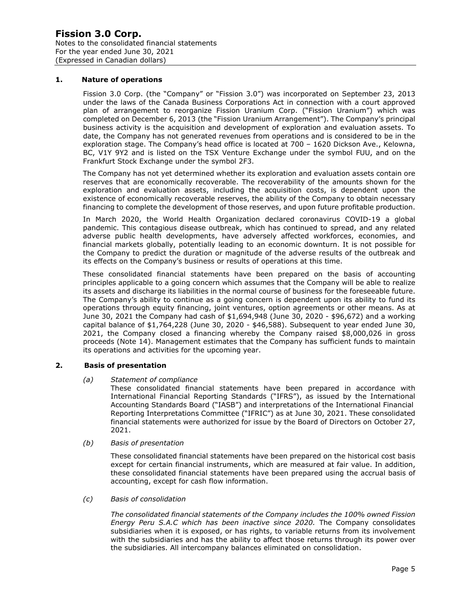# **1. Nature of operations**

Fission 3.0 Corp. (the "Company" or "Fission 3.0") was incorporated on September 23, 2013 under the laws of the Canada Business Corporations Act in connection with a court approved plan of arrangement to reorganize Fission Uranium Corp. ("Fission Uranium") which was completed on December 6, 2013 (the "Fission Uranium Arrangement"). The Company's principal business activity is the acquisition and development of exploration and evaluation assets. To date, the Company has not generated revenues from operations and is considered to be in the exploration stage. The Company's head office is located at 700 – 1620 Dickson Ave., Kelowna, BC, V1Y 9Y2 and is listed on the TSX Venture Exchange under the symbol FUU, and on the Frankfurt Stock Exchange under the symbol 2F3.

The Company has not yet determined whether its exploration and evaluation assets contain ore reserves that are economically recoverable. The recoverability of the amounts shown for the exploration and evaluation assets, including the acquisition costs, is dependent upon the existence of economically recoverable reserves, the ability of the Company to obtain necessary financing to complete the development of those reserves, and upon future profitable production.

In March 2020, the World Health Organization declared coronavirus COVID-19 a global pandemic. This contagious disease outbreak, which has continued to spread, and any related adverse public health developments, have adversely affected workforces, economies, and financial markets globally, potentially leading to an economic downturn. It is not possible for the Company to predict the duration or magnitude of the adverse results of the outbreak and its effects on the Company's business or results of operations at this time.

These consolidated financial statements have been prepared on the basis of accounting principles applicable to a going concern which assumes that the Company will be able to realize its assets and discharge its liabilities in the normal course of business for the foreseeable future. The Company's ability to continue as a going concern is dependent upon its ability to fund its operations through equity financing, joint ventures, option agreements or other means. As at June 30, 2021 the Company had cash of \$1,694,948 (June 30, 2020 - \$96,672) and a working capital balance of \$1,764,228 (June 30, 2020 - \$46,588). Subsequent to year ended June 30, 2021, the Company closed a financing whereby the Company raised \$8,000,026 in gross proceeds (Note 14). Management estimates that the Company has sufficient funds to maintain its operations and activities for the upcoming year.

# **2. Basis of presentation**

*(a) Statement of compliance*

These consolidated financial statements have been prepared in accordance with International Financial Reporting Standards ("IFRS"), as issued by the International Accounting Standards Board ("IASB") and interpretations of the International Financial Reporting Interpretations Committee ("IFRIC") as at June 30, 2021. These consolidated financial statements were authorized for issue by the Board of Directors on October 27, 2021.

*(b) Basis of presentation*

These consolidated financial statements have been prepared on the historical cost basis except for certain financial instruments, which are measured at fair value. In addition, these consolidated financial statements have been prepared using the accrual basis of accounting, except for cash flow information.

*(c) Basis of consolidation*

*The consolidated financial statements of the Company includes the 100% owned Fission Energy Peru S.A.C which has been inactive since 2020.* The Company consolidates subsidiaries when it is exposed, or has rights, to variable returns from its involvement with the subsidiaries and has the ability to affect those returns through its power over the subsidiaries. All intercompany balances eliminated on consolidation.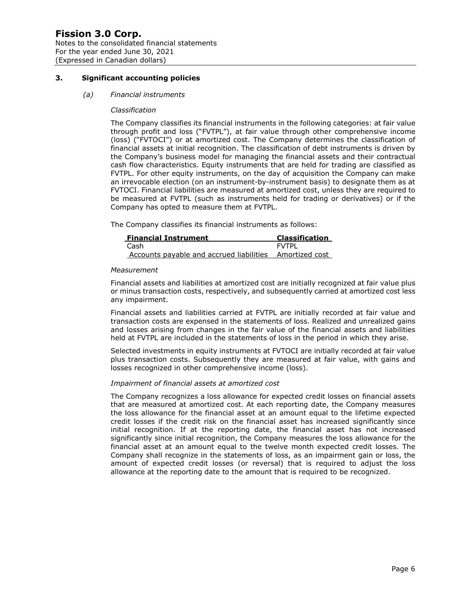# **Fission 3.0 Corp.** Notes to the consolidated financial statements For the year ended June 30, 2021 (Expressed in Canadian dollars)

# **3. Significant accounting policies**

#### *(a) Financial instruments*

#### *Classification*

The Company classifies its financial instruments in the following categories: at fair value through profit and loss ("FVTPL"), at fair value through other comprehensive income (loss) ("FVTOCI") or at amortized cost. The Company determines the classification of financial assets at initial recognition. The classification of debt instruments is driven by the Company's business model for managing the financial assets and their contractual cash flow characteristics. Equity instruments that are held for trading are classified as FVTPL. For other equity instruments, on the day of acquisition the Company can make an irrevocable election (on an instrument-by-instrument basis) to designate them as at FVTOCI. Financial liabilities are measured at amortized cost, unless they are required to be measured at FVTPL (such as instruments held for trading or derivatives) or if the Company has opted to measure them at FVTPL.

The Company classifies its financial instruments as follows:

| <b>Financial Instrument</b>                             | Classification |
|---------------------------------------------------------|----------------|
| Cash                                                    | <b>FVTPI</b>   |
| Accounts payable and accrued liabilities Amortized cost |                |

#### *Measurement*

Financial assets and liabilities at amortized cost are initially recognized at fair value plus or minus transaction costs, respectively, and subsequently carried at amortized cost less any impairment.

Financial assets and liabilities carried at FVTPL are initially recorded at fair value and transaction costs are expensed in the statements of loss. Realized and unrealized gains and losses arising from changes in the fair value of the financial assets and liabilities held at FVTPL are included in the statements of loss in the period in which they arise.

Selected investments in equity instruments at FVTOCI are initially recorded at fair value plus transaction costs. Subsequently they are measured at fair value, with gains and losses recognized in other comprehensive income (loss).

#### *Impairment of financial assets at amortized cost*

The Company recognizes a loss allowance for expected credit losses on financial assets that are measured at amortized cost. At each reporting date, the Company measures the loss allowance for the financial asset at an amount equal to the lifetime expected credit losses if the credit risk on the financial asset has increased significantly since initial recognition. If at the reporting date, the financial asset has not increased significantly since initial recognition, the Company measures the loss allowance for the financial asset at an amount equal to the twelve month expected credit losses. The Company shall recognize in the statements of loss, as an impairment gain or loss, the amount of expected credit losses (or reversal) that is required to adjust the loss allowance at the reporting date to the amount that is required to be recognized.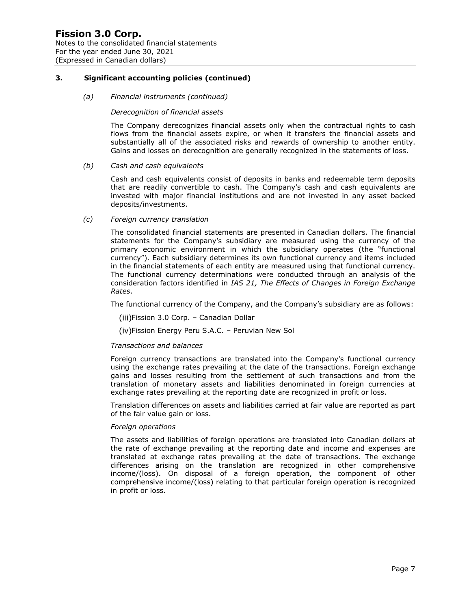# **Fission 3.0 Corp.** Notes to the consolidated financial statements For the year ended June 30, 2021 (Expressed in Canadian dollars)

# **3. Significant accounting policies (continued)**

#### *(a) Financial instruments (continued)*

#### *Derecognition of financial assets*

The Company derecognizes financial assets only when the contractual rights to cash flows from the financial assets expire, or when it transfers the financial assets and substantially all of the associated risks and rewards of ownership to another entity. Gains and losses on derecognition are generally recognized in the statements of loss.

#### *(b) Cash and cash equivalents*

Cash and cash equivalents consist of deposits in banks and redeemable term deposits that are readily convertible to cash. The Company's cash and cash equivalents are invested with major financial institutions and are not invested in any asset backed deposits/investments.

#### *(c) Foreign currency translation*

The consolidated financial statements are presented in Canadian dollars. The financial statements for the Company's subsidiary are measured using the currency of the primary economic environment in which the subsidiary operates (the "functional currency"). Each subsidiary determines its own functional currency and items included in the financial statements of each entity are measured using that functional currency. The functional currency determinations were conducted through an analysis of the consideration factors identified in *IAS 21, The Effects of Changes in Foreign Exchange Rates*.

The functional currency of the Company, and the Company's subsidiary are as follows:

(iii) Fission 3.0 Corp. - Canadian Dollar

(iv)Fission Energy Peru S.A.C. - Peruvian New Sol

#### *Transactions and balances*

Foreign currency transactions are translated into the Company's functional currency using the exchange rates prevailing at the date of the transactions. Foreign exchange gains and losses resulting from the settlement of such transactions and from the translation of monetary assets and liabilities denominated in foreign currencies at exchange rates prevailing at the reporting date are recognized in profit or loss.

Translation differences on assets and liabilities carried at fair value are reported as part of the fair value gain or loss.

#### *Foreign operations*

The assets and liabilities of foreign operations are translated into Canadian dollars at the rate of exchange prevailing at the reporting date and income and expenses are translated at exchange rates prevailing at the date of transactions. The exchange differences arising on the translation are recognized in other comprehensive income/(loss). On disposal of a foreign operation, the component of other comprehensive income/(loss) relating to that particular foreign operation is recognized in profit or loss.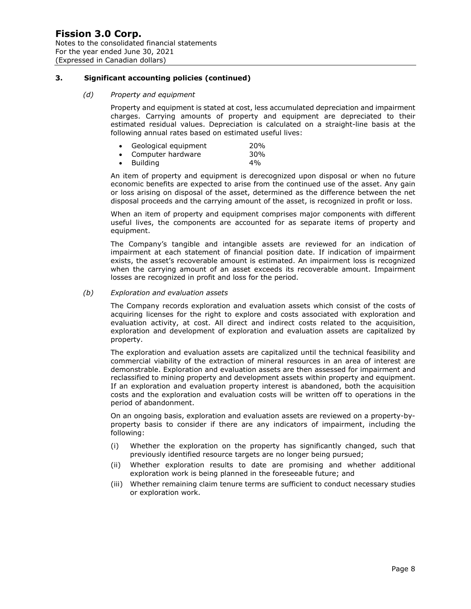#### *(d) Property and equipment*

Property and equipment is stated at cost, less accumulated depreciation and impairment charges. Carrying amounts of property and equipment are depreciated to their estimated residual values. Depreciation is calculated on a straight-line basis at the following annual rates based on estimated useful lives:

|  | Geological equipment | 20% |
|--|----------------------|-----|
|--|----------------------|-----|

- Computer hardware 30%
- Building 4%

An item of property and equipment is derecognized upon disposal or when no future economic benefits are expected to arise from the continued use of the asset. Any gain or loss arising on disposal of the asset, determined as the difference between the net disposal proceeds and the carrying amount of the asset, is recognized in profit or loss.

When an item of property and equipment comprises major components with different useful lives, the components are accounted for as separate items of property and equipment.

The Company's tangible and intangible assets are reviewed for an indication of impairment at each statement of financial position date. If indication of impairment exists, the asset's recoverable amount is estimated. An impairment loss is recognized when the carrying amount of an asset exceeds its recoverable amount. Impairment losses are recognized in profit and loss for the period.

*(b) Exploration and evaluation assets*

The Company records exploration and evaluation assets which consist of the costs of acquiring licenses for the right to explore and costs associated with exploration and evaluation activity, at cost. All direct and indirect costs related to the acquisition, exploration and development of exploration and evaluation assets are capitalized by property.

The exploration and evaluation assets are capitalized until the technical feasibility and commercial viability of the extraction of mineral resources in an area of interest are demonstrable. Exploration and evaluation assets are then assessed for impairment and reclassified to mining property and development assets within property and equipment. If an exploration and evaluation property interest is abandoned, both the acquisition costs and the exploration and evaluation costs will be written off to operations in the period of abandonment.

On an ongoing basis, exploration and evaluation assets are reviewed on a property-byproperty basis to consider if there are any indicators of impairment, including the following:

- (i) Whether the exploration on the property has significantly changed, such that previously identified resource targets are no longer being pursued;
- (ii) Whether exploration results to date are promising and whether additional exploration work is being planned in the foreseeable future; and
- (iii) Whether remaining claim tenure terms are sufficient to conduct necessary studies or exploration work.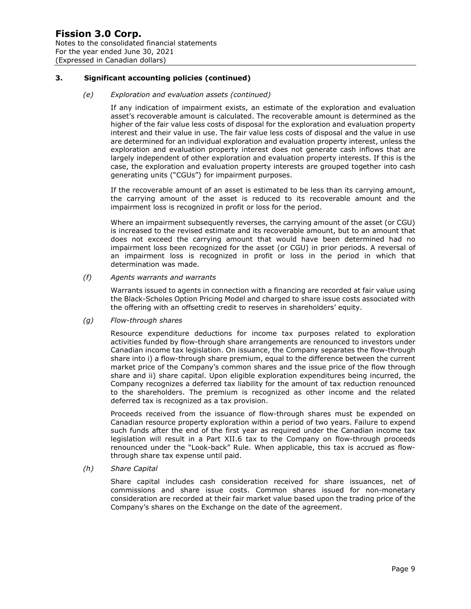#### *(e) Exploration and evaluation assets (continued)*

If any indication of impairment exists, an estimate of the exploration and evaluation asset's recoverable amount is calculated. The recoverable amount is determined as the higher of the fair value less costs of disposal for the exploration and evaluation property interest and their value in use. The fair value less costs of disposal and the value in use are determined for an individual exploration and evaluation property interest, unless the exploration and evaluation property interest does not generate cash inflows that are largely independent of other exploration and evaluation property interests. If this is the case, the exploration and evaluation property interests are grouped together into cash generating units ("CGUs") for impairment purposes.

If the recoverable amount of an asset is estimated to be less than its carrying amount, the carrying amount of the asset is reduced to its recoverable amount and the impairment loss is recognized in profit or loss for the period.

Where an impairment subsequently reverses, the carrying amount of the asset (or CGU) is increased to the revised estimate and its recoverable amount, but to an amount that does not exceed the carrying amount that would have been determined had no impairment loss been recognized for the asset (or CGU) in prior periods. A reversal of an impairment loss is recognized in profit or loss in the period in which that determination was made.

#### *(f) Agents warrants and warrants*

Warrants issued to agents in connection with a financing are recorded at fair value using the Black-Scholes Option Pricing Model and charged to share issue costs associated with the offering with an offsetting credit to reserves in shareholders' equity.

#### *(g) Flow-through shares*

Resource expenditure deductions for income tax purposes related to exploration activities funded by flow-through share arrangements are renounced to investors under Canadian income tax legislation. On issuance, the Company separates the flow-through share into i) a flow-through share premium, equal to the difference between the current market price of the Company's common shares and the issue price of the flow through share and ii) share capital. Upon eligible exploration expenditures being incurred, the Company recognizes a deferred tax liability for the amount of tax reduction renounced to the shareholders. The premium is recognized as other income and the related deferred tax is recognized as a tax provision.

Proceeds received from the issuance of flow-through shares must be expended on Canadian resource property exploration within a period of two years. Failure to expend such funds after the end of the first year as required under the Canadian income tax legislation will result in a Part XII.6 tax to the Company on flow-through proceeds renounced under the "Look-back" Rule. When applicable, this tax is accrued as flowthrough share tax expense until paid.

*(h) Share Capital* 

Share capital includes cash consideration received for share issuances, net of commissions and share issue costs. Common shares issued for non-monetary consideration are recorded at their fair market value based upon the trading price of the Company's shares on the Exchange on the date of the agreement.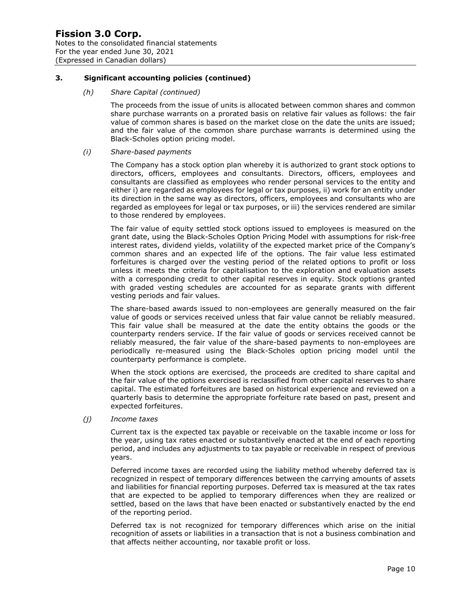#### *(h) Share Capital (continued)*

The proceeds from the issue of units is allocated between common shares and common share purchase warrants on a prorated basis on relative fair values as follows: the fair value of common shares is based on the market close on the date the units are issued; and the fair value of the common share purchase warrants is determined using the Black-Scholes option pricing model.

#### *(i) Share-based payments*

The Company has a stock option plan whereby it is authorized to grant stock options to directors, officers, employees and consultants. Directors, officers, employees and consultants are classified as employees who render personal services to the entity and either i) are regarded as employees for legal or tax purposes, ii) work for an entity under its direction in the same way as directors, officers, employees and consultants who are regarded as employees for legal or tax purposes, or iii) the services rendered are similar to those rendered by employees.

The fair value of equity settled stock options issued to employees is measured on the grant date, using the Black-Scholes Option Pricing Model with assumptions for risk-free interest rates, dividend yields, volatility of the expected market price of the Company's common shares and an expected life of the options. The fair value less estimated forfeitures is charged over the vesting period of the related options to profit or loss unless it meets the criteria for capitalisation to the exploration and evaluation assets with a corresponding credit to other capital reserves in equity. Stock options granted with graded vesting schedules are accounted for as separate grants with different vesting periods and fair values.

The share-based awards issued to non-employees are generally measured on the fair value of goods or services received unless that fair value cannot be reliably measured. This fair value shall be measured at the date the entity obtains the goods or the counterparty renders service. If the fair value of goods or services received cannot be reliably measured, the fair value of the share-based payments to non-employees are periodically re-measured using the Black-Scholes option pricing model until the counterparty performance is complete.

When the stock options are exercised, the proceeds are credited to share capital and the fair value of the options exercised is reclassified from other capital reserves to share capital. The estimated forfeitures are based on historical experience and reviewed on a quarterly basis to determine the appropriate forfeiture rate based on past, present and expected forfeitures.

#### *(j) Income taxes*

Current tax is the expected tax payable or receivable on the taxable income or loss for the year, using tax rates enacted or substantively enacted at the end of each reporting period, and includes any adjustments to tax payable or receivable in respect of previous years.

Deferred income taxes are recorded using the liability method whereby deferred tax is recognized in respect of temporary differences between the carrying amounts of assets and liabilities for financial reporting purposes. Deferred tax is measured at the tax rates that are expected to be applied to temporary differences when they are realized or settled, based on the laws that have been enacted or substantively enacted by the end of the reporting period.

Deferred tax is not recognized for temporary differences which arise on the initial recognition of assets or liabilities in a transaction that is not a business combination and that affects neither accounting, nor taxable profit or loss.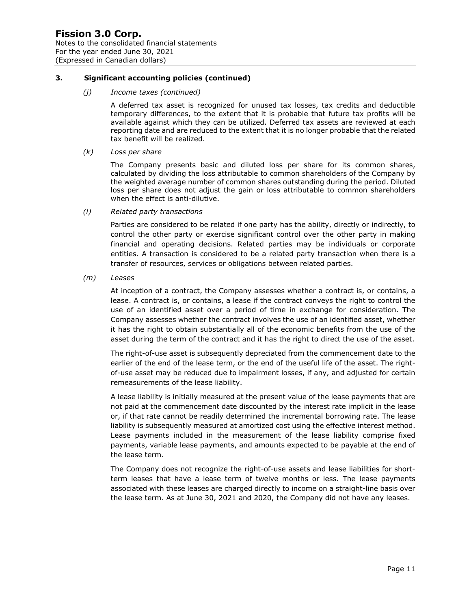#### *(j) Income taxes (continued)*

A deferred tax asset is recognized for unused tax losses, tax credits and deductible temporary differences, to the extent that it is probable that future tax profits will be available against which they can be utilized. Deferred tax assets are reviewed at each reporting date and are reduced to the extent that it is no longer probable that the related tax benefit will be realized.

#### *(k) Loss per share*

The Company presents basic and diluted loss per share for its common shares, calculated by dividing the loss attributable to common shareholders of the Company by the weighted average number of common shares outstanding during the period. Diluted loss per share does not adjust the gain or loss attributable to common shareholders when the effect is anti-dilutive.

# *(l) Related party transactions*

Parties are considered to be related if one party has the ability, directly or indirectly, to control the other party or exercise significant control over the other party in making financial and operating decisions. Related parties may be individuals or corporate entities. A transaction is considered to be a related party transaction when there is a transfer of resources, services or obligations between related parties.

#### *(m) Leases*

At inception of a contract, the Company assesses whether a contract is, or contains, a lease. A contract is, or contains, a lease if the contract conveys the right to control the use of an identified asset over a period of time in exchange for consideration. The Company assesses whether the contract involves the use of an identified asset, whether it has the right to obtain substantially all of the economic benefits from the use of the asset during the term of the contract and it has the right to direct the use of the asset.

The right-of-use asset is subsequently depreciated from the commencement date to the earlier of the end of the lease term, or the end of the useful life of the asset. The rightof-use asset may be reduced due to impairment losses, if any, and adjusted for certain remeasurements of the lease liability.

A lease liability is initially measured at the present value of the lease payments that are not paid at the commencement date discounted by the interest rate implicit in the lease or, if that rate cannot be readily determined the incremental borrowing rate. The lease liability is subsequently measured at amortized cost using the effective interest method. Lease payments included in the measurement of the lease liability comprise fixed payments, variable lease payments, and amounts expected to be payable at the end of the lease term.

The Company does not recognize the right-of-use assets and lease liabilities for shortterm leases that have a lease term of twelve months or less. The lease payments associated with these leases are charged directly to income on a straight-line basis over the lease term. As at June 30, 2021 and 2020, the Company did not have any leases.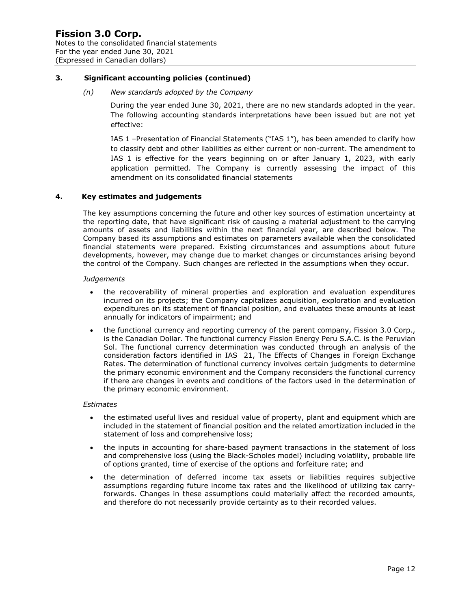*(n) New standards adopted by the Company*

During the year ended June 30, 2021, there are no new standards adopted in the year. The following accounting standards interpretations have been issued but are not yet effective:

IAS 1 –Presentation of Financial Statements ("IAS 1"), has been amended to clarify how to classify debt and other liabilities as either current or non-current. The amendment to IAS 1 is effective for the years beginning on or after January 1, 2023, with early application permitted. The Company is currently assessing the impact of this amendment on its consolidated financial statements

# **4. Key estimates and judgements**

The key assumptions concerning the future and other key sources of estimation uncertainty at the reporting date, that have significant risk of causing a material adjustment to the carrying amounts of assets and liabilities within the next financial year, are described below. The Company based its assumptions and estimates on parameters available when the consolidated financial statements were prepared. Existing circumstances and assumptions about future developments, however, may change due to market changes or circumstances arising beyond the control of the Company. Such changes are reflected in the assumptions when they occur.

# *Judgements*

- the recoverability of mineral properties and exploration and evaluation expenditures incurred on its projects; the Company capitalizes acquisition, exploration and evaluation expenditures on its statement of financial position, and evaluates these amounts at least annually for indicators of impairment; and
- the functional currency and reporting currency of the parent company, Fission 3.0 Corp., is the Canadian Dollar. The functional currency Fission Energy Peru S.A.C. is the Peruvian Sol. The functional currency determination was conducted through an analysis of the consideration factors identified in IAS 21, The Effects of Changes in Foreign Exchange Rates. The determination of functional currency involves certain judgments to determine the primary economic environment and the Company reconsiders the functional currency if there are changes in events and conditions of the factors used in the determination of the primary economic environment.

#### *Estimates*

- the estimated useful lives and residual value of property, plant and equipment which are included in the statement of financial position and the related amortization included in the statement of loss and comprehensive loss;
- the inputs in accounting for share-based payment transactions in the statement of loss and comprehensive loss (using the Black-Scholes model) including volatility, probable life of options granted, time of exercise of the options and forfeiture rate; and
- the determination of deferred income tax assets or liabilities requires subjective assumptions regarding future income tax rates and the likelihood of utilizing tax carryforwards. Changes in these assumptions could materially affect the recorded amounts, and therefore do not necessarily provide certainty as to their recorded values.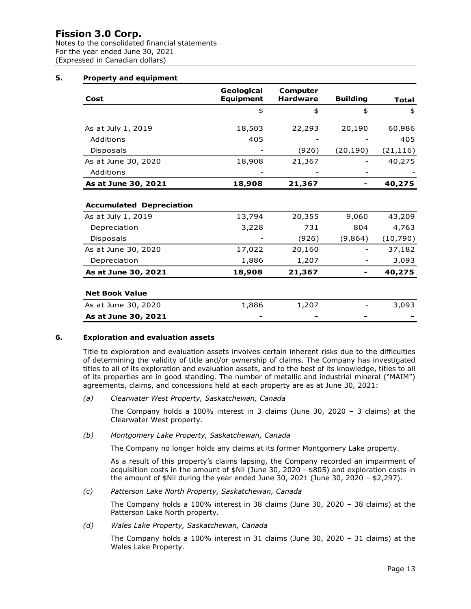# **Fission 3.0 Corp.** Notes to the consolidated financial statements For the year ended June 30, 2021

(Expressed in Canadian dollars)

# **5. Property and equipment**

|                                 | Geological       | Computer        |                 |              |
|---------------------------------|------------------|-----------------|-----------------|--------------|
| Cost                            | <b>Equipment</b> | <b>Hardware</b> | <b>Building</b> | <b>Total</b> |
|                                 | \$               | \$              | \$              | \$           |
| As at July 1, 2019              | 18,503           | 22,293          | 20,190          | 60,986       |
| Additions                       | 405              |                 |                 | 405          |
| Disposals                       |                  | (926)           | (20, 190)       | (21, 116)    |
| As at June 30, 2020             | 18,908           | 21,367          |                 | 40,275       |
| Additions                       |                  |                 |                 |              |
| As at June 30, 2021             | 18,908           | 21,367          |                 | 40,275       |
|                                 |                  |                 |                 |              |
| <b>Accumulated Depreciation</b> |                  |                 |                 |              |
| As at July 1, 2019              | 13,794           | 20,355          | 9,060           | 43,209       |
| Depreciation                    | 3,228            | 731             | 804             | 4,763        |
| Disposals                       |                  | (926)           | (9,864)         | (10, 790)    |
| As at June 30, 2020             | 17,022           | 20,160          |                 | 37,182       |
| Depreciation                    | 1,886            | 1,207           |                 | 3,093        |
| As at June 30, 2021             | 18,908           | 21,367          |                 | 40,275       |
|                                 |                  |                 |                 |              |
| <b>Net Book Value</b>           |                  |                 |                 |              |
| As at June 30, 2020             | 1,886            | 1,207           |                 | 3,093        |
| As at June 30, 2021             |                  |                 |                 |              |

# **6. Exploration and evaluation assets**

Title to exploration and evaluation assets involves certain inherent risks due to the difficulties of determining the validity of title and/or ownership of claims. The Company has investigated titles to all of its exploration and evaluation assets, and to the best of its knowledge, titles to all of its properties are in good standing. The number of metallic and industrial mineral ("MAIM") agreements, claims, and concessions held at each property are as at June 30, 2021:

*(a) Clearwater West Property, Saskatchewan, Canada*

The Company holds a  $100\%$  interest in 3 claims (June 30, 2020 – 3 claims) at the Clearwater West property.

*(b) Montgomery Lake Property, Saskatchewan, Canada*

The Company no longer holds any claims at its former Montgomery Lake property.

As a result of this property's claims lapsing, the Company recorded an impairment of acquisition costs in the amount of \$Nil (June 30, 2020 - \$805) and exploration costs in the amount of  $$N$ il during the year ended June 30, 2021 (June 30, 2020 –  $$2,297$ ).

*(c) Patterson Lake North Property, Saskatchewan, Canada*

The Company holds a 100% interest in 38 claims (June 30, 2020 – 38 claims) at the Patterson Lake North property.

*(d) Wales Lake Property, Saskatchewan, Canada*

The Company holds a 100% interest in 31 claims (June 30, 2020 – 31 claims) at the Wales Lake Property.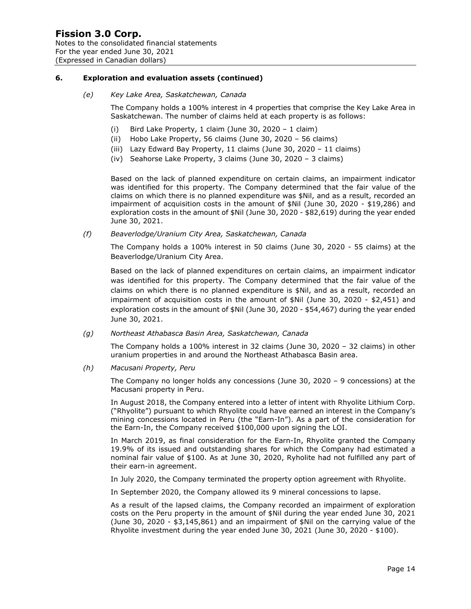# **6. Exploration and evaluation assets (continued)**

#### *(e) Key Lake Area, Saskatchewan, Canada*

The Company holds a 100% interest in 4 properties that comprise the Key Lake Area in Saskatchewan. The number of claims held at each property is as follows:

- (i) Bird Lake Property, 1 claim (June 30, 2020 1 claim)
- (ii) Hobo Lake Property, 56 claims (June 30, 2020 56 claims)
- (iii) Lazy Edward Bay Property, 11 claims (June 30, 2020 11 claims)
- (iv) Seahorse Lake Property, 3 claims (June 30, 2020 3 claims)

Based on the lack of planned expenditure on certain claims, an impairment indicator was identified for this property. The Company determined that the fair value of the claims on which there is no planned expenditure was \$Nil, and as a result, recorded an impairment of acquisition costs in the amount of \$Nil (June 30, 2020 - \$19,286) and exploration costs in the amount of \$Nil (June 30, 2020 - \$82,619) during the year ended June 30, 2021.

*(f) Beaverlodge/Uranium City Area, Saskatchewan, Canada*

The Company holds a 100% interest in 50 claims (June 30, 2020 - 55 claims) at the Beaverlodge/Uranium City Area.

Based on the lack of planned expenditures on certain claims, an impairment indicator was identified for this property. The Company determined that the fair value of the claims on which there is no planned expenditure is \$Nil, and as a result, recorded an impairment of acquisition costs in the amount of \$Nil (June 30, 2020 - \$2,451) and exploration costs in the amount of \$Nil (June 30, 2020 - \$54,467) during the year ended June 30, 2021.

*(g) Northeast Athabasca Basin Area, Saskatchewan, Canada*

The Company holds a 100% interest in 32 claims (June 30, 2020 – 32 claims) in other uranium properties in and around the Northeast Athabasca Basin area.

*(h) Macusani Property, Peru*

The Company no longer holds any concessions (June 30, 2020 – 9 concessions) at the Macusani property in Peru.

In August 2018, the Company entered into a letter of intent with Rhyolite Lithium Corp. ("Rhyolite") pursuant to which Rhyolite could have earned an interest in the Company's mining concessions located in Peru (the "Earn-In"). As a part of the consideration for the Earn-In, the Company received \$100,000 upon signing the LOI.

In March 2019, as final consideration for the Earn-In, Rhyolite granted the Company 19.9% of its issued and outstanding shares for which the Company had estimated a nominal fair value of \$100. As at June 30, 2020, Ryholite had not fulfilled any part of their earn-in agreement.

In July 2020, the Company terminated the property option agreement with Rhyolite.

In September 2020, the Company allowed its 9 mineral concessions to lapse.

As a result of the lapsed claims, the Company recorded an impairment of exploration costs on the Peru property in the amount of \$Nil during the year ended June 30, 2021 (June 30, 2020 - \$3,145,861) and an impairment of \$Nil on the carrying value of the Rhyolite investment during the year ended June 30, 2021 (June 30, 2020 - \$100).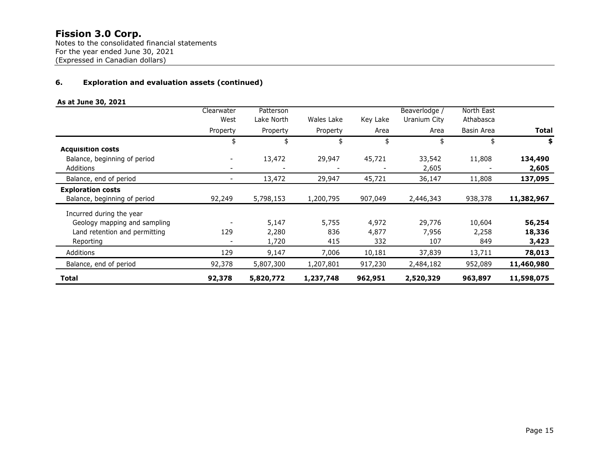Notes to the consolidated financial statements For the year ended June 30, 2021 (Expressed in Canadian dollars)

# **6. Exploration and evaluation assets (continued)**

#### **As at June 30, 2021**

|                               | Clearwater               | Patterson  |            |          | Beaverlodge / | North East |              |
|-------------------------------|--------------------------|------------|------------|----------|---------------|------------|--------------|
|                               | West                     | Lake North | Wales Lake | Key Lake | Uranium City  | Athabasca  |              |
|                               | Property                 | Property   | Property   | Area     | Area          | Basin Area | <b>Total</b> |
|                               | \$                       | \$         | \$         | \$       | \$            | \$         | \$           |
| <b>Acquisition costs</b>      |                          |            |            |          |               |            |              |
| Balance, beginning of period  | $\overline{\phantom{a}}$ | 13,472     | 29,947     | 45,721   | 33,542        | 11,808     | 134,490      |
| Additions                     | $\overline{\phantom{a}}$ |            |            |          | 2,605         |            | 2,605        |
| Balance, end of period        |                          | 13,472     | 29,947     | 45,721   | 36,147        | 11,808     | 137,095      |
| <b>Exploration costs</b>      |                          |            |            |          |               |            |              |
| Balance, beginning of period  | 92,249                   | 5,798,153  | 1,200,795  | 907,049  | 2,446,343     | 938,378    | 11,382,967   |
| Incurred during the year      |                          |            |            |          |               |            |              |
| Geology mapping and sampling  |                          | 5,147      | 5,755      | 4,972    | 29,776        | 10,604     | 56,254       |
| Land retention and permitting | 129                      | 2,280      | 836        | 4,877    | 7,956         | 2,258      | 18,336       |
| Reporting                     |                          | 1,720      | 415        | 332      | 107           | 849        | 3,423        |
| Additions                     | 129                      | 9,147      | 7,006      | 10,181   | 37,839        | 13,711     | 78,013       |
| Balance, end of period        | 92,378                   | 5,807,300  | 1,207,801  | 917,230  | 2,484,182     | 952,089    | 11,460,980   |
| Total                         | 92,378                   | 5,820,772  | 1,237,748  | 962,951  | 2,520,329     | 963,897    | 11,598,075   |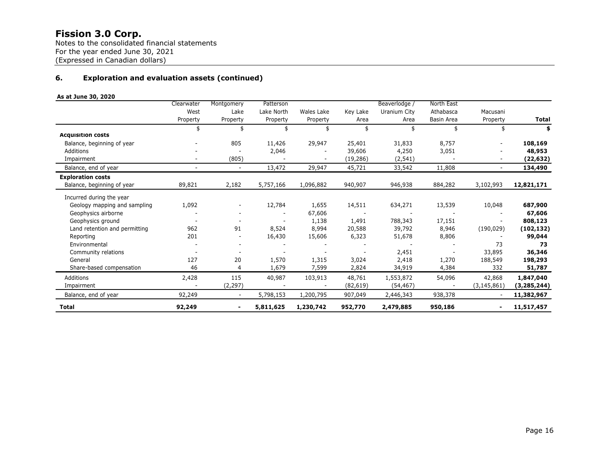Notes to the consolidated financial statements For the year ended June 30, 2021 (Expressed in Canadian dollars)

# **6. Exploration and evaluation assets (continued)**

#### **As at June 30, 2020**

|                               | Clearwater | Montgomery | Patterson  |            |           | Beaverlodge / | North East |               |               |
|-------------------------------|------------|------------|------------|------------|-----------|---------------|------------|---------------|---------------|
|                               | West       | Lake       | Lake North | Wales Lake | Key Lake  | Uranium City  | Athabasca  | Macusani      |               |
|                               | Property   | Property   | Property   | Property   | Area      | Area          | Basin Area | Property      | Total         |
|                               | \$         |            |            |            |           |               | \$         | \$            |               |
| <b>Acquisition costs</b>      |            |            |            |            |           |               |            |               |               |
| Balance, beginning of year    |            | 805        | 11,426     | 29,947     | 25,401    | 31,833        | 8,757      |               | 108,169       |
| Additions                     |            |            | 2,046      |            | 39,606    | 4,250         | 3,051      |               | 48,953        |
| Impairment                    |            | (805)      |            |            | (19, 286) | (2, 541)      |            |               | (22,632)      |
| Balance, end of year          |            |            | 13,472     | 29,947     | 45,721    | 33,542        | 11,808     |               | 134,490       |
| <b>Exploration costs</b>      |            |            |            |            |           |               |            |               |               |
| Balance, beginning of year    | 89,821     | 2,182      | 5,757,166  | 1,096,882  | 940,907   | 946,938       | 884,282    | 3,102,993     | 12,821,171    |
| Incurred during the year      |            |            |            |            |           |               |            |               |               |
| Geology mapping and sampling  | 1,092      |            | 12,784     | 1,655      | 14,511    | 634,271       | 13,539     | 10,048        | 687,900       |
| Geophysics airborne           |            |            |            | 67,606     |           |               |            |               | 67,606        |
| Geophysics ground             |            |            |            | 1,138      | 1,491     | 788,343       | 17,151     |               | 808,123       |
| Land retention and permitting | 962        | 91         | 8,524      | 8,994      | 20,588    | 39,792        | 8,946      | (190, 029)    | (102, 132)    |
| Reporting                     | 201        |            | 16,430     | 15,606     | 6,323     | 51,678        | 8,806      |               | 99,044        |
| Environmental                 |            |            |            |            |           |               |            | 73            | 73            |
| Community relations           |            |            |            |            |           | 2,451         |            | 33,895        | 36,346        |
| General                       | 127        | 20         | 1,570      | 1,315      | 3,024     | 2,418         | 1,270      | 188,549       | 198,293       |
| Share-based compensation      | 46         | 4          | 1,679      | 7,599      | 2,824     | 34,919        | 4,384      | 332           | 51,787        |
| Additions                     | 2,428      | 115        | 40,987     | 103,913    | 48,761    | 1,553,872     | 54,096     | 42,868        | 1,847,040     |
| Impairment                    |            | (2, 297)   |            |            | (82, 619) | (54, 467)     |            | (3, 145, 861) | (3, 285, 244) |
| Balance, end of year          | 92,249     |            | 5,798,153  | 1,200,795  | 907,049   | 2,446,343     | 938,378    |               | 11,382,967    |
| <b>Total</b>                  | 92,249     |            | 5,811,625  | 1,230,742  | 952,770   | 2,479,885     | 950,186    |               | 11,517,457    |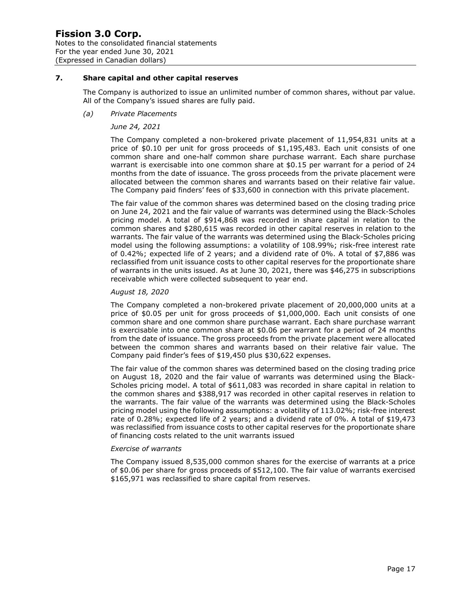# **7. Share capital and other capital reserves**

The Company is authorized to issue an unlimited number of common shares, without par value. All of the Company's issued shares are fully paid.

*(a) Private Placements*

*June 24, 2021*

The Company completed a non-brokered private placement of 11,954,831 units at a price of \$0.10 per unit for gross proceeds of \$1,195,483. Each unit consists of one common share and one-half common share purchase warrant. Each share purchase warrant is exercisable into one common share at \$0.15 per warrant for a period of 24 months from the date of issuance. The gross proceeds from the private placement were allocated between the common shares and warrants based on their relative fair value. The Company paid finders' fees of \$33,600 in connection with this private placement.

The fair value of the common shares was determined based on the closing trading price on June 24, 2021 and the fair value of warrants was determined using the Black-Scholes pricing model. A total of \$914,868 was recorded in share capital in relation to the common shares and \$280,615 was recorded in other capital reserves in relation to the warrants. The fair value of the warrants was determined using the Black-Scholes pricing model using the following assumptions: a volatility of 108.99%; risk-free interest rate of 0.42%; expected life of 2 years; and a dividend rate of 0%. A total of \$7,886 was reclassified from unit issuance costs to other capital reserves for the proportionate share of warrants in the units issued. As at June 30, 2021, there was \$46,275 in subscriptions receivable which were collected subsequent to year end.

#### *August 18, 2020*

The Company completed a non-brokered private placement of 20,000,000 units at a price of \$0.05 per unit for gross proceeds of \$1,000,000. Each unit consists of one common share and one common share purchase warrant. Each share purchase warrant is exercisable into one common share at \$0.06 per warrant for a period of 24 months from the date of issuance. The gross proceeds from the private placement were allocated between the common shares and warrants based on their relative fair value. The Company paid finder's fees of \$19,450 plus \$30,622 expenses.

The fair value of the common shares was determined based on the closing trading price on August 18, 2020 and the fair value of warrants was determined using the Black-Scholes pricing model. A total of \$611,083 was recorded in share capital in relation to the common shares and \$388,917 was recorded in other capital reserves in relation to the warrants. The fair value of the warrants was determined using the Black-Scholes pricing model using the following assumptions: a volatility of 113.02%; risk-free interest rate of 0.28%; expected life of 2 years; and a dividend rate of 0%. A total of \$19,473 was reclassified from issuance costs to other capital reserves for the proportionate share of financing costs related to the unit warrants issued

#### *Exercise of warrants*

The Company issued 8,535,000 common shares for the exercise of warrants at a price of \$0.06 per share for gross proceeds of \$512,100. The fair value of warrants exercised \$165,971 was reclassified to share capital from reserves.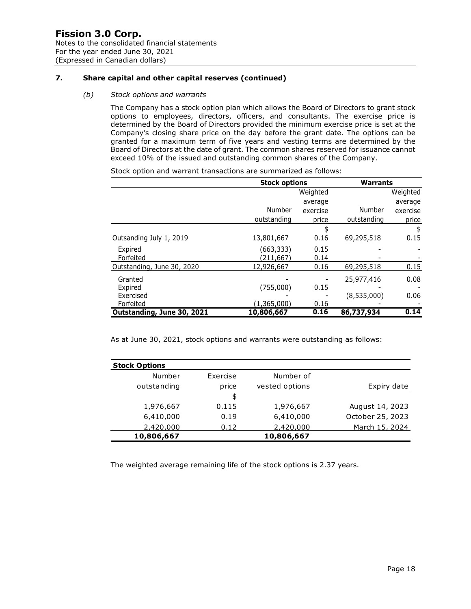# **7. Share capital and other capital reserves (continued)**

# *(b) Stock options and warrants*

The Company has a stock option plan which allows the Board of Directors to grant stock options to employees, directors, officers, and consultants. The exercise price is determined by the Board of Directors provided the minimum exercise price is set at the Company's closing share price on the day before the grant date. The options can be granted for a maximum term of five years and vesting terms are determined by the Board of Directors at the date of grant. The common shares reserved for issuance cannot exceed 10% of the issued and outstanding common shares of the Company.

Stock option and warrant transactions are summarized as follows:

|                            | <b>Stock options</b> |          | <b>Warrants</b> |          |  |
|----------------------------|----------------------|----------|-----------------|----------|--|
|                            |                      | Weighted |                 | Weighted |  |
|                            |                      | average  |                 | average  |  |
|                            | Number               | exercise | Number          | exercise |  |
|                            | outstanding          | price    | outstanding     | price    |  |
|                            |                      | \$       |                 | \$       |  |
| Outsanding July 1, 2019    | 13,801,667           | 0.16     | 69,295,518      | 0.15     |  |
| Expired                    | (663,333)            | 0.15     |                 |          |  |
| Forfeited                  | (211, 667)           | 0.14     |                 |          |  |
| Outstanding, June 30, 2020 | 12,926,667           | 0.16     | 69,295,518      | 0.15     |  |
| Granted                    |                      |          | 25,977,416      | 0.08     |  |
| Expired                    | (755,000)            | 0.15     |                 |          |  |
| Exercised                  |                      |          | (8,535,000)     | 0.06     |  |
| Forfeited                  | (1,365,000)          | 0.16     |                 |          |  |
| Outstanding, June 30, 2021 | 10,806,667           | 0.16     | 86,737,934      | 0.14     |  |

As at June 30, 2021, stock options and warrants were outstanding as follows:

| <b>Stock Options</b> |          |                |                  |
|----------------------|----------|----------------|------------------|
| Number               | Exercise | Number of      |                  |
| outstanding          | price    | vested options | Expiry date      |
|                      | \$       |                |                  |
| 1,976,667            | 0.115    | 1,976,667      | August 14, 2023  |
| 6,410,000            | 0.19     | 6,410,000      | October 25, 2023 |
| 2,420,000            | 0.12     | 2,420,000      | March 15, 2024   |
| 10,806,667           |          | 10,806,667     |                  |

The weighted average remaining life of the stock options is 2.37 years.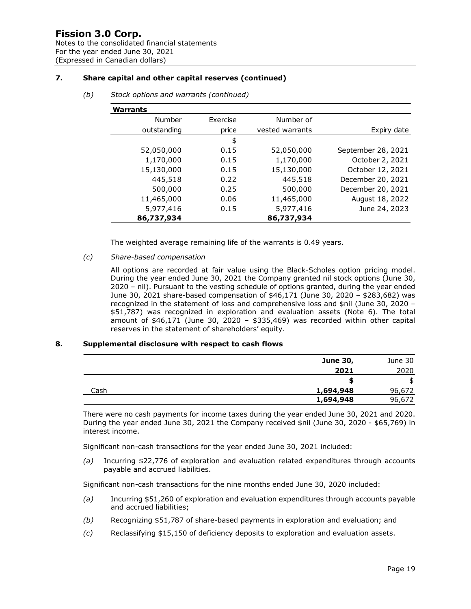# **Fission 3.0 Corp.** Notes to the consolidated financial statements For the year ended June 30, 2021 (Expressed in Canadian dollars)

# **7. Share capital and other capital reserves (continued)**

| (b) | Stock options and warrants (continued) |  |  |
|-----|----------------------------------------|--|--|
|     |                                        |  |  |

| Warrants    |          |                 |                    |
|-------------|----------|-----------------|--------------------|
| Number      | Exercise | Number of       |                    |
| outstanding | price    | vested warrants | Expiry date        |
|             | \$       |                 |                    |
| 52,050,000  | 0.15     | 52,050,000      | September 28, 2021 |
| 1,170,000   | 0.15     | 1,170,000       | October 2, 2021    |
| 15,130,000  | 0.15     | 15,130,000      | October 12, 2021   |
| 445,518     | 0.22     | 445,518         | December 20, 2021  |
| 500,000     | 0.25     | 500,000         | December 20, 2021  |
| 11,465,000  | 0.06     | 11,465,000      | August 18, 2022    |
| 5,977,416   | 0.15     | 5,977,416       | June 24, 2023      |
| 86,737,934  |          | 86,737,934      |                    |
|             |          |                 |                    |

The weighted average remaining life of the warrants is 0.49 years.

# *(c) Share-based compensation*

All options are recorded at fair value using the Black-Scholes option pricing model. During the year ended June 30, 2021 the Company granted nil stock options (June 30, 2020 – nil). Pursuant to the vesting schedule of options granted, during the year ended June 30, 2021 share-based compensation of \$46,171 (June 30, 2020 – \$283,682) was recognized in the statement of loss and comprehensive loss and \$nil (June 30, 2020 – \$51,787) was recognized in exploration and evaluation assets (Note 6). The total amount of  $$46,171$  (June 30, 2020 –  $$335,469$ ) was recorded within other capital reserves in the statement of shareholders' equity.

# **8. Supplemental disclosure with respect to cash flows**

|      | <b>June 30,</b> | June 30 |
|------|-----------------|---------|
|      | 2021            | 2020    |
|      | - 12            | \$      |
| Cash | 1,694,948       | 96,672  |
|      | 1,694,948       | 96,672  |

There were no cash payments for income taxes during the year ended June 30, 2021 and 2020. During the year ended June 30, 2021 the Company received \$nil (June 30, 2020 - \$65,769) in interest income.

Significant non-cash transactions for the year ended June 30, 2021 included:

*(a)* Incurring \$22,776 of exploration and evaluation related expenditures through accounts payable and accrued liabilities.

Significant non-cash transactions for the nine months ended June 30, 2020 included:

- *(a)* Incurring \$51,260 of exploration and evaluation expenditures through accounts payable and accrued liabilities;
- *(b)* Recognizing \$51,787 of share-based payments in exploration and evaluation; and
- *(c)* Reclassifying \$15,150 of deficiency deposits to exploration and evaluation assets.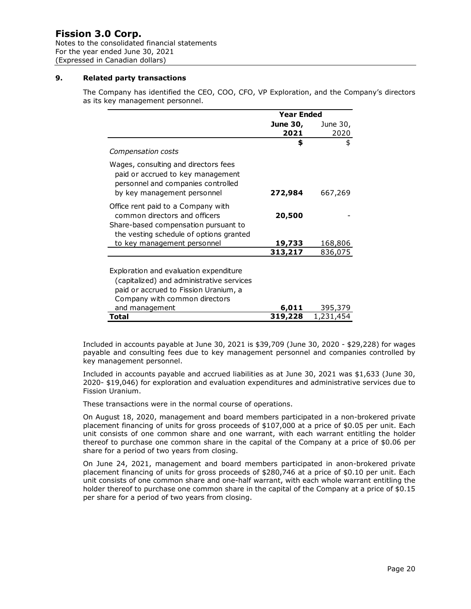# **Fission 3.0 Corp.** Notes to the consolidated financial statements

For the year ended June 30, 2021 (Expressed in Canadian dollars)

# **9. Related party transactions**

The Company has identified the CEO, COO, CFO, VP Exploration, and the Company's directors as its key management personnel.

|                                                                                                                                                               | <b>Year Ended</b> |           |  |
|---------------------------------------------------------------------------------------------------------------------------------------------------------------|-------------------|-----------|--|
|                                                                                                                                                               | June 30,          | June 30,  |  |
|                                                                                                                                                               | 2021              | 2020      |  |
|                                                                                                                                                               | \$                | \$        |  |
| <i>Compensation costs</i>                                                                                                                                     |                   |           |  |
| Wages, consulting and directors fees<br>paid or accrued to key management<br>personnel and companies controlled<br>by key management personnel                | 272,984           | 667,269   |  |
| Office rent paid to a Company with<br>common directors and officers                                                                                           | 20,500            |           |  |
| Share-based compensation pursuant to<br>the vesting schedule of options granted                                                                               |                   |           |  |
| to key management personnel                                                                                                                                   | 19,733            | 168,806   |  |
|                                                                                                                                                               | 313,217           | 836,075   |  |
| Exploration and evaluation expenditure<br>(capitalized) and administrative services<br>paid or accrued to Fission Uranium, a<br>Company with common directors |                   |           |  |
| and management                                                                                                                                                | 6,011             | 395,379   |  |
| Total                                                                                                                                                         | 319,228           | 1,231,454 |  |

Included in accounts payable at June 30, 2021 is \$39,709 (June 30, 2020 - \$29,228) for wages payable and consulting fees due to key management personnel and companies controlled by key management personnel.

Included in accounts payable and accrued liabilities as at June 30, 2021 was \$1,633 (June 30, 2020- \$19,046) for exploration and evaluation expenditures and administrative services due to Fission Uranium.

These transactions were in the normal course of operations.

On August 18, 2020, management and board members participated in a non-brokered private placement financing of units for gross proceeds of \$107,000 at a price of \$0.05 per unit. Each unit consists of one common share and one warrant, with each warrant entitling the holder thereof to purchase one common share in the capital of the Company at a price of \$0.06 per share for a period of two years from closing.

On June 24, 2021, management and board members participated in anon-brokered private placement financing of units for gross proceeds of \$280,746 at a price of \$0.10 per unit. Each unit consists of one common share and one-half warrant, with each whole warrant entitling the holder thereof to purchase one common share in the capital of the Company at a price of \$0.15 per share for a period of two years from closing.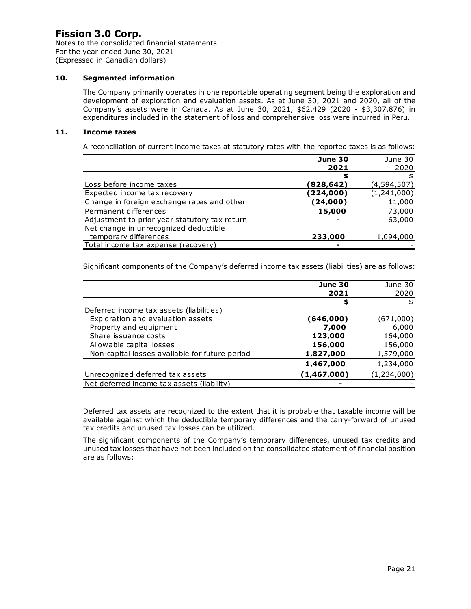# **10. Segmented information**

The Company primarily operates in one reportable operating segment being the exploration and development of exploration and evaluation assets. As at June 30, 2021 and 2020, all of the Company's assets were in Canada. As at June 30, 2021, \$62,429 (2020 - \$3,307,876) in expenditures included in the statement of loss and comprehensive loss were incurred in Peru.

#### **11. Income taxes**

A reconciliation of current income taxes at statutory rates with the reported taxes is as follows:

|                                               | June 30   | June 30     |
|-----------------------------------------------|-----------|-------------|
|                                               | 2021      | 2020        |
|                                               |           | \$          |
| Loss before income taxes                      | (828,642) | (4,594,507) |
| Expected income tax recovery                  | (224,000) | (1,241,000) |
| Change in foreign exchange rates and other    | (24,000)  | 11,000      |
| Permanent differences                         | 15,000    | 73,000      |
| Adjustment to prior year statutory tax return |           | 63,000      |
| Net change in unrecognized deductible         |           |             |
| temporary differences                         | 233,000   | 1,094,000   |
| Total income tax expense (recovery)           |           |             |

Significant components of the Company's deferred income tax assets (liabilities) are as follows:

|                                                | June 30     | June 30     |
|------------------------------------------------|-------------|-------------|
|                                                | 2021        | 2020        |
|                                                | \$          | \$          |
| Deferred income tax assets (liabilities)       |             |             |
| Exploration and evaluation assets              | (646,000)   | (671,000)   |
| Property and equipment                         | 7,000       | 6,000       |
| Share issuance costs                           | 123,000     | 164,000     |
| Allowable capital losses                       | 156,000     | 156,000     |
| Non-capital losses available for future period | 1,827,000   | 1,579,000   |
|                                                | 1,467,000   | 1,234,000   |
| Unrecognized deferred tax assets               | (1,467,000) | (1,234,000) |
| Net deferred income tax assets (liability)     |             |             |

Deferred tax assets are recognized to the extent that it is probable that taxable income will be available against which the deductible temporary differences and the carry-forward of unused tax credits and unused tax losses can be utilized.

The significant components of the Company's temporary differences, unused tax credits and unused tax losses that have not been included on the consolidated statement of financial position are as follows: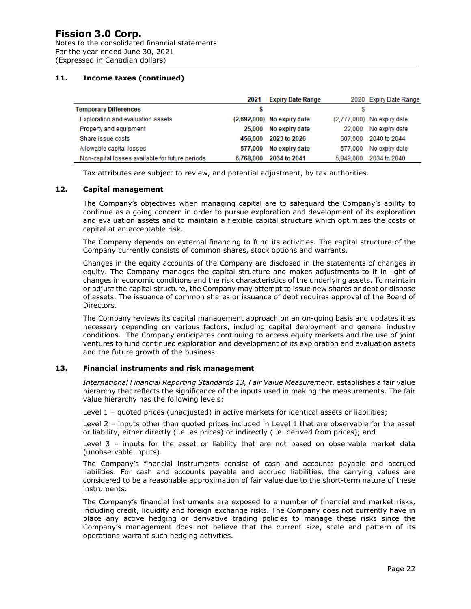Notes to the consolidated financial statements For the year ended June 30, 2021 (Expressed in Canadian dollars)

# **11. Income taxes (continued)**

|                                                 | 2021      | <b>Expiry Date Range</b>     |   | 2020 Expiry Date Range     |
|-------------------------------------------------|-----------|------------------------------|---|----------------------------|
| <b>Temporary Differences</b>                    | s         |                              | S |                            |
| Exploration and evaluation assets               |           | $(2,692,000)$ No expiry date |   | (2,777,000) No expiry date |
| Property and equipment                          | 25.000    | No expiry date               |   | 22,000 No expiry date      |
| Share issue costs                               | 456.000   | 2023 to 2026                 |   | 607,000 2040 to 2044       |
| Allowable capital losses                        | 577.000   | No expiry date               |   | 577,000 No expiry date     |
| Non-capital losses available for future periods | 6.768.000 | 2034 to 2041                 |   | 5.849.000 2034 to 2040     |

Tax attributes are subject to review, and potential adjustment, by tax authorities.

# **12. Capital management**

The Company's objectives when managing capital are to safeguard the Company's ability to continue as a going concern in order to pursue exploration and development of its exploration and evaluation assets and to maintain a flexible capital structure which optimizes the costs of capital at an acceptable risk.

The Company depends on external financing to fund its activities. The capital structure of the Company currently consists of common shares, stock options and warrants.

Changes in the equity accounts of the Company are disclosed in the statements of changes in equity. The Company manages the capital structure and makes adjustments to it in light of changes in economic conditions and the risk characteristics of the underlying assets. To maintain or adjust the capital structure, the Company may attempt to issue new shares or debt or dispose of assets. The issuance of common shares or issuance of debt requires approval of the Board of Directors.

The Company reviews its capital management approach on an on-going basis and updates it as necessary depending on various factors, including capital deployment and general industry conditions. The Company anticipates continuing to access equity markets and the use of joint ventures to fund continued exploration and development of its exploration and evaluation assets and the future growth of the business.

# **13. Financial instruments and risk management**

*International Financial Reporting Standards 13, Fair Value Measurement*, establishes a fair value hierarchy that reflects the significance of the inputs used in making the measurements. The fair value hierarchy has the following levels:

Level 1 – quoted prices (unadjusted) in active markets for identical assets or liabilities;

Level 2 – inputs other than quoted prices included in Level 1 that are observable for the asset or liability, either directly (i.e. as prices) or indirectly (i.e. derived from prices); and

Level 3 – inputs for the asset or liability that are not based on observable market data (unobservable inputs).

The Company's financial instruments consist of cash and accounts payable and accrued liabilities. For cash and accounts payable and accrued liabilities, the carrying values are considered to be a reasonable approximation of fair value due to the short-term nature of these instruments.

The Company's financial instruments are exposed to a number of financial and market risks, including credit, liquidity and foreign exchange risks. The Company does not currently have in place any active hedging or derivative trading policies to manage these risks since the Company's management does not believe that the current size, scale and pattern of its operations warrant such hedging activities.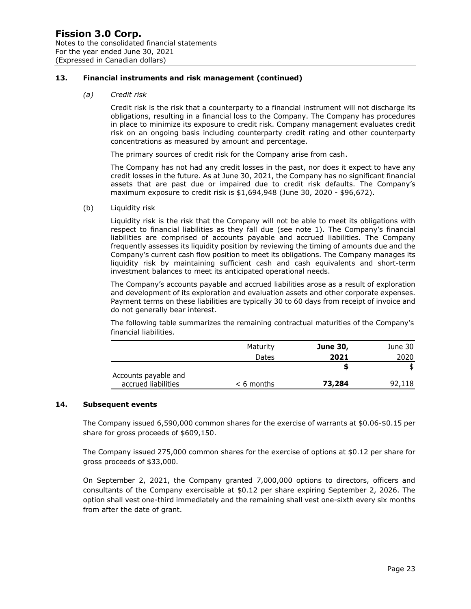# **13. Financial instruments and risk management (continued)**

# *(a) Credit risk*

Credit risk is the risk that a counterparty to a financial instrument will not discharge its obligations, resulting in a financial loss to the Company. The Company has procedures in place to minimize its exposure to credit risk. Company management evaluates credit risk on an ongoing basis including counterparty credit rating and other counterparty concentrations as measured by amount and percentage.

The primary sources of credit risk for the Company arise from cash.

The Company has not had any credit losses in the past, nor does it expect to have any credit losses in the future. As at June 30, 2021, the Company has no significant financial assets that are past due or impaired due to credit risk defaults. The Company's maximum exposure to credit risk is \$1,694,948 (June 30, 2020 - \$96,672).

(b) Liquidity risk

Liquidity risk is the risk that the Company will not be able to meet its obligations with respect to financial liabilities as they fall due (see note 1). The Company's financial liabilities are comprised of accounts payable and accrued liabilities. The Company frequently assesses its liquidity position by reviewing the timing of amounts due and the Company's current cash flow position to meet its obligations. The Company manages its liquidity risk by maintaining sufficient cash and cash equivalents and short-term investment balances to meet its anticipated operational needs.

The Company's accounts payable and accrued liabilities arose as a result of exploration and development of its exploration and evaluation assets and other corporate expenses. Payment terms on these liabilities are typically 30 to 60 days from receipt of invoice and do not generally bear interest.

The following table summarizes the remaining contractual maturities of the Company's financial liabilities.

|                                             | Maturity     | June 30, | June 30 |
|---------------------------------------------|--------------|----------|---------|
|                                             | Dates        | 2021     | 2020    |
|                                             |              |          |         |
| Accounts payable and<br>accrued liabilities | $< 6$ months | 73,284   | 92,118  |

# **14. Subsequent events**

The Company issued 6,590,000 common shares for the exercise of warrants at \$0.06-\$0.15 per share for gross proceeds of \$609,150.

The Company issued 275,000 common shares for the exercise of options at \$0.12 per share for gross proceeds of \$33,000.

On September 2, 2021, the Company granted 7,000,000 options to directors, officers and consultants of the Company exercisable at \$0.12 per share expiring September 2, 2026. The option shall vest one-third immediately and the remaining shall vest one-sixth every six months from after the date of grant.